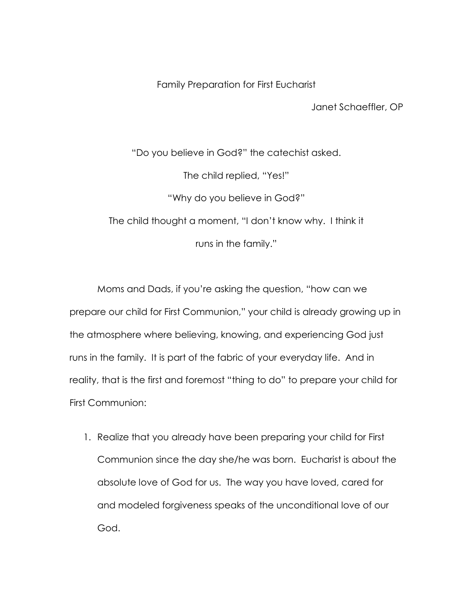Family Preparation for First Eucharist

Janet Schaeffler, OP

"Do you believe in God?" the catechist asked. The child replied, "Yes!" "Why do you believe in God?" The child thought a moment, "I don't know why. I think it runs in the family."

Moms and Dads, if you're asking the question, "how can we prepare our child for First Communion," your child is already growing up in the atmosphere where believing, knowing, and experiencing God just runs in the family. It is part of the fabric of your everyday life. And in reality, that is the first and foremost "thing to do" to prepare your child for First Communion:

1. Realize that you already have been preparing your child for First Communion since the day she/he was born. Eucharist is about the absolute love of God for us. The way you have loved, cared for and modeled forgiveness speaks of the unconditional love of our God.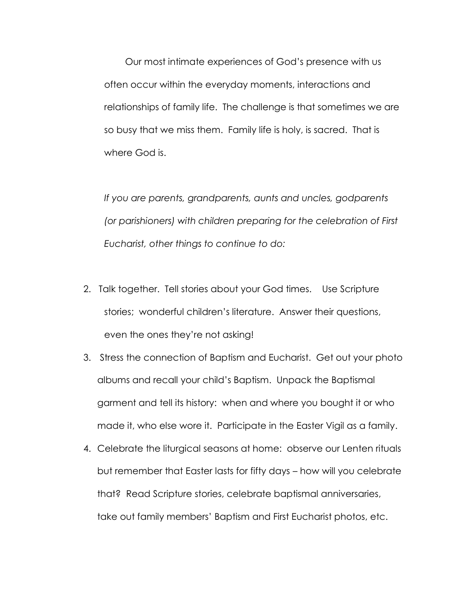Our most intimate experiences of God's presence with us often occur within the everyday moments, interactions and relationships of family life. The challenge is that sometimes we are so busy that we miss them. Family life is holy, is sacred. That is where God is.

*If you are parents, grandparents, aunts and uncles, godparents (or parishioners) with children preparing for the celebration of First Eucharist, other things to continue to do:*

- 2. Talk together. Tell stories about your God times. Use Scripture stories; wonderful children's literature. Answer their questions, even the ones they're not asking!
- 3. Stress the connection of Baptism and Eucharist. Get out your photo albums and recall your child's Baptism. Unpack the Baptismal garment and tell its history: when and where you bought it or who made it, who else wore it. Participate in the Easter Vigil as a family.
- 4. Celebrate the liturgical seasons at home: observe our Lenten rituals but remember that Easter lasts for fifty days – how will you celebrate that? Read Scripture stories, celebrate baptismal anniversaries, take out family members' Baptism and First Eucharist photos, etc.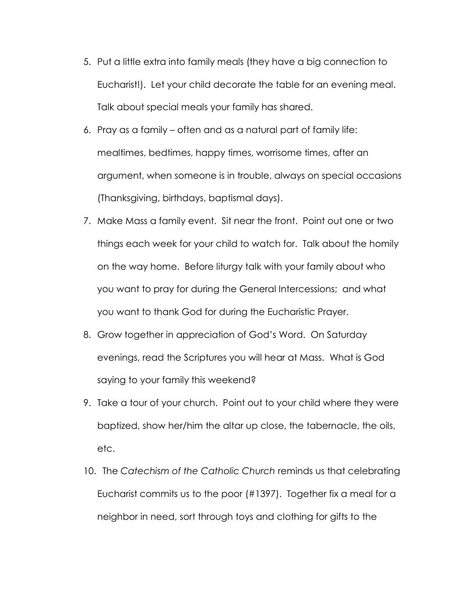- 5. Put a little extra into family meals (they have a big connection to Eucharist!). Let your child decorate the table for an evening meal. Talk about special meals your family has shared.
- 6. Pray as a family often and as a natural part of family life: mealtimes, bedtimes, happy times, worrisome times, after an argument, when someone is in trouble, always on special occasions (Thanksgiving, birthdays, baptismal days).
- 7. Make Mass a family event. Sit near the front. Point out one or two things each week for your child to watch for. Talk about the homily on the way home. Before liturgy talk with your family about who you want to pray for during the General Intercessions; and what you want to thank God for during the Eucharistic Prayer.
- 8. Grow together in appreciation of God's Word. On Saturday evenings, read the Scriptures you will hear at Mass. What is God saying to your family this weekend?
- 9. Take a tour of your church. Point out to your child where they were baptized, show her/him the altar up close, the tabernacle, the oils, etc.
- 10. The *Catechism of the Catholic Church* reminds us that celebrating Eucharist commits us to the poor (#1397). Together fix a meal for a neighbor in need, sort through toys and clothing for gifts to the